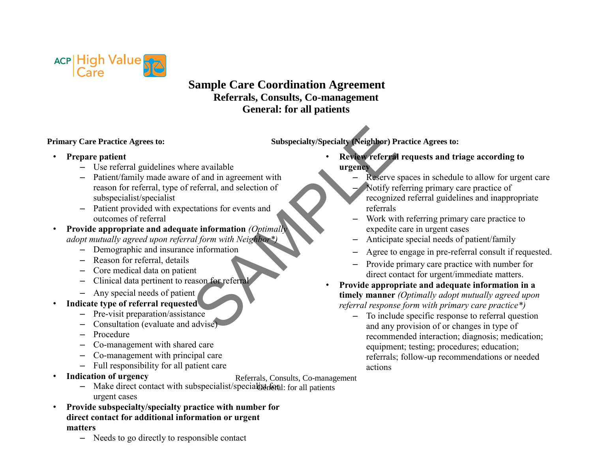

## **Sample Care Coordination Agreement Referrals, Consults, Co-management General: for all patients**

- **Primary Care Practice Agrees to:** Subspecialty/Specialty (Neighbor) Practice Agrees to:
- **Prepare patient**
	- Use referral guidelines where available
- Patient/family made aware of and in agreement with reason for referral, type of referral, and selection of subspecialist/specialist Subspecialty/Specialty (Neighbor) P<br>
re available<br>
of and in agreement with<br>
referral, and selection of<br>
ctations for events and<br>
te information (Optimally<br>
al form with Neighbor\*)<br>
information<br>
information<br>
of events and<br>
	- Patient provided with expectations for events and outcomes of referral
- **Provide appropriate and adequate information** *(Optimally adopt mutually agreed upon referral form with Neighbor\*)*
	- Demographic and insurance information
	- Reason for referral, details
	- Core medical data on patient
	- Clinical data pertinent to reason for referral
	- Any special needs of patient
- **Indicate type of referral requested**
	- Pre-visit preparation/assistance
	- Consultation (evaluate and advise)
	- Procedure
	- Co-management with shared care
	- Co-management with principal care
	- Full responsibility for all patient care
- **Indication of urgency**
- Referrals, Consults, Co-management
- Make direct contact with subspecialist/specialist for all patients were contact with subspecialist/specialist for all patients urgent cases
- **Provide subspecialty/specialty practice with number for direct contact for additional information or urgent matters**
	- Needs to go directly to responsible contact
- **Review referral requests and triage according to urgency**
	- Reserve spaces in schedule to allow for urgent care
	- Notify referring primary care practice of recognized referral guidelines and inappropriate referrals
	- Work with referring primary care practice to expedite care in urgent cases
	- Anticipate special needs of patient/family
	- Agree to engage in pre-referral consult if requested.
	- Provide primary care practice with number for direct contact for urgent/immediate matters.
- **Provide appropriate and adequate information in a timely manner** *(Optimally adopt mutually agreed upon referral response form with primary care practice\*)*
	- To include specific response to referral question and any provision of or changes in type of recommended interaction; diagnosis; medication; equipment; testing; procedures; education; referrals; follow-up recommendations or needed actions